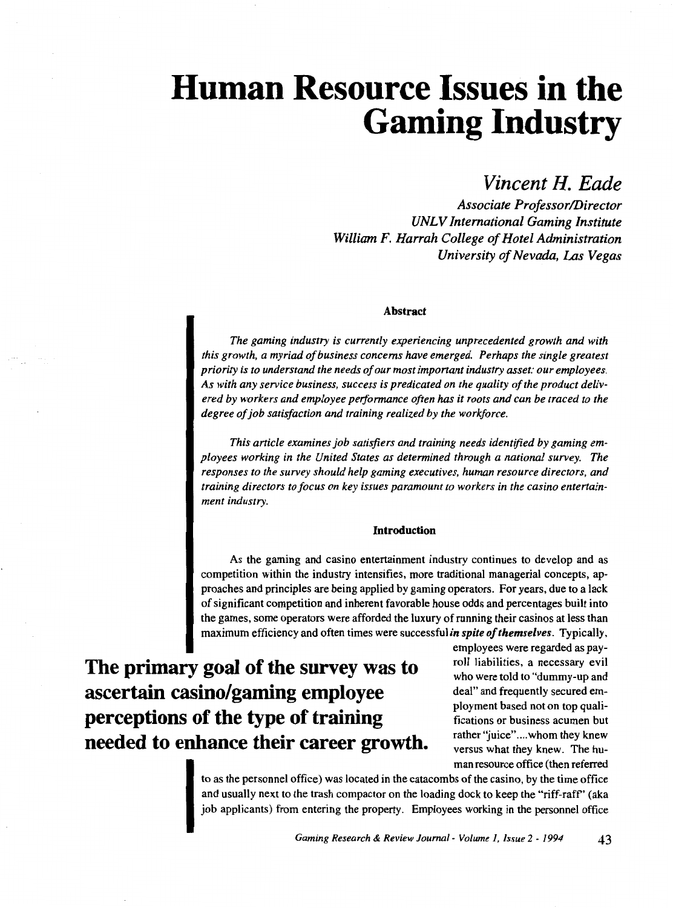# **Human Resource Issues in the Gaming Industry**

### *Vincent H. Eade*

*Associate Professor/Director UNLV International Gaming Institute William F. Harrah College of Hotel Administration University of Nevada, Las Vegas* 

#### **Abstract**

*The gaming industry is currently experiencing unprecedented growth and with this growth, a myriad of business concerns have emerged. Perhaps the single greatest priority is to understand the needs of our most important industry asset: our employees. As with any service business, success is predicated on the quality of the product delivered by workers and employee performance often has it roots and can be traced to the degree of job satisfaction and training realized by the workforce.* 

*This article examines job satisfiers and training needs identified by gaming employees working in the United States as determined through a national survey. The responses to the survey should help gaming executives, human resource directors, and training directors to focus on key issues paramount to workers in the casino entertainment industry.* 

#### **Introduction**

As the gaming and casino entertainment industry continues to develop and as competition within the industry intensifies, more traditional managerial concepts, approaches and principles are being applied by gaming operators. For years, due to a lack of significant competition and inherent favorable house odds and percentages built into the games, some operators were afforded the luxury of running their casinos at less than maximum efficiency and often times were successful *in spite of themselves.* Typically,

**The primary goal of the survey was to ascertain casino/gaming employee perceptions of the type of training needed to enhance their career growth.**  employees were regarded as payroll liabilities, a necessary evil who were told to "dummy-up and deal" and frequently secured employment based not on top qualifications or business acumen but rather "juice"....whom they knew versus what they knew. The human resource office (then referred

to as the personnel office) was located in the catacombs of the casino, by the time office and usually next to the trash compactor on the loading dock to keep the "riff-raff' (aka job applicants) from entering the property. Employees working in the personnel office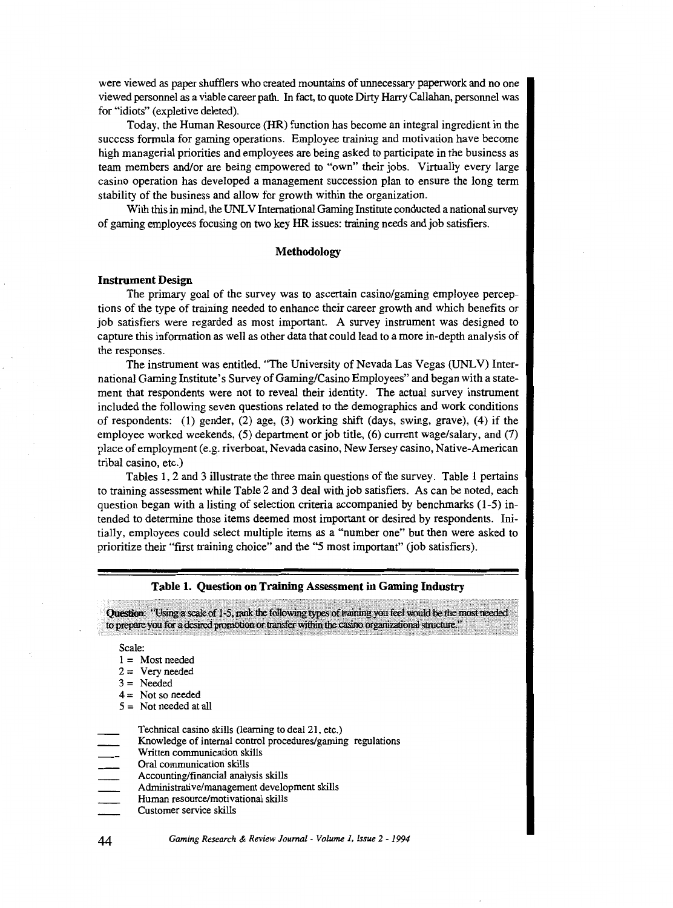were viewed as paper shufflers who created mountains of unnecessary paperwork and no one viewed personnel as a viable career path. In fact, to quote Dirty Harry Callahan, personnel was for "idiots" (expletive deleted).

Today, the Human Resource (HR) function has become an integral ingredient in the success formula for gaming operations. Employee training and motivation have become high managerial priorities and employees are being asked to participate in the business as team members and/or are being empowered to "own" their jobs. Virtually every large casino operation has developed a management succession plan to ensure the long term stability of the business and allow for growth within the organization.

With this in mind, the UNLV International Gaming Institute conducted a national survey of gaming employees focusing on two key HR issues: training needs and job satisfiers.

#### **Methodology**

#### **Instrument Design**

The primary goal of the survey was to ascertain casino/gaming employee perceptions of the type of training needed to enhance their career growth and which benefits or job satisfiers were regarded as most important. A survey instrument was designed to capture this information as well as other data that could lead to a more in-depth analysis of the responses.

The instrument was entitled, "The University of Nevada Las Vegas (UNLV) International Gaming Institute's Survey of Gaming/Casino Employees" and began with a statement that respondents were not to reveal their identity. The actual survey instrument included the following seven questions related to the demographics and work conditions of respondents: (1) gender, (2) age, (3) working shift (days, swing, grave), (4) if the employee worked weekends, (5) department or job title, (6) current wage/salary, and (7) place of employment (e.g. riverboat, Nevada casino, New Jersey casino, Native-American tribal casino, etc.)

Tables 1, 2 and 3 illustrate the three main questions of the survey. Table 1 pertains to training assessment while Table 2 and 3 deal with job satisfiers. As can be noted, each question began with a listing of selection criteria accompanied by benchmarks (1-5) intended to determine those items deemed most important or desired by respondents. Initially, employees could select multiple items as a "number one" but then were asked to prioritize their "first training choice" and the "5 most important" (job satisfiers).

|                                         | Table 1. Question on Training Assessment in Gaming Industry                                                                                                                                                                                                                                                                              |
|-----------------------------------------|------------------------------------------------------------------------------------------------------------------------------------------------------------------------------------------------------------------------------------------------------------------------------------------------------------------------------------------|
|                                         | Question: "Using a scale of 1-5, rank the following types of training you feel would be the most needed<br>to prepare you for a desired promotion or transfer within the casino organizational structure."                                                                                                                               |
| Scale:                                  | $1 =$ Most needed<br>$2 = \text{Very needed}$<br>$3 =$ Needed<br>$4 =$ Not so needed<br>$5 =$ Not needed at all                                                                                                                                                                                                                          |
| $=$<br>$\frac{1}{\sqrt{1-\frac{1}{2}}}$ | Technical casino skills (learning to deal 21, etc.)<br>Knowledge of internal control procedures/gaming regulations<br>Written communication skills<br>Oral communication skills<br>Accounting/financial analysis skills<br>Administrative/management development skills<br>Human resource/motivational skills<br>Customer service skills |

*Gaming Research* & *Review Journal- Volume 1, Issue* 2- *1994* 

44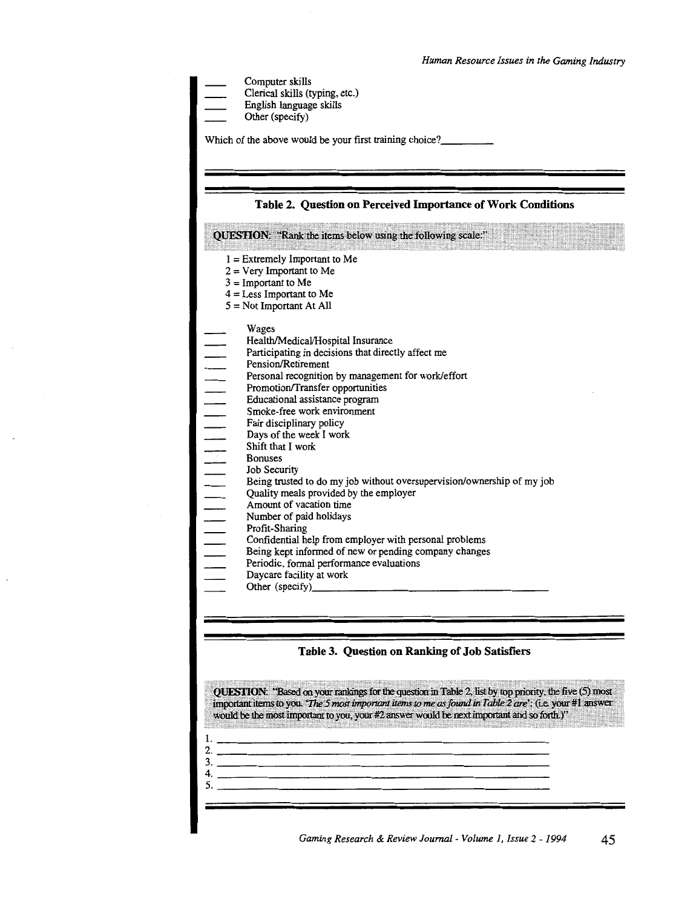Computer skills

Clerical skills (typing, etc.)

English language skills

Other (specify)

Which of the above would be your first training choice?\_\_\_\_\_\_\_\_\_\_\_\_\_\_\_\_\_\_\_\_\_\_\_\_\_\_

#### **Table 2. Question on Perceived Importance of Work Conditions**

QUESTION: "Rank the items below using the following scale:"

- $I =$  Extremely Important to Me
- $2 =$  Very Important to Me
- $3 =$ Important to Me
- $4 =$  Less Important to Me
- 5 = Not Important At All

Wages

- Health/Medical/Hospital Insurance
- Participating in decisions that directly affect me
- Pension/Retirement
- Personal recognition by management for work/effort
- Promotion/Transfer opportunities
- Educational assistance program
- Smoke-free work environment
- Fair disciplinary policy
- Days of the week I work
- Shift that I work
- Bonuses
- Job Security
- Being trusted to do my job without oversupervision/ownership of my job
- Quality meals provided by the employer
- Amount of vacation time
- |<br>|<br>|<br>|<br>|<br>|<br>|<br><br><br><br> Number of paid holidays
	- Profit-Sharing
		- Confidential help from employer with personal problems
	- Being kept informed of new or pending company changes
		- Periodic, formal performance evaluations
	- Daycare facility at work Other (specify) \_\_\_\_\_\_\_\_\_\_\_\_\_\_\_\_\_ \_
	-

#### **Table 3. Question on Ranking of Job Satisfiers**

QUESTION: "Based on your rankings for the question in Table 2, list by top priority, the five (5) most important items to you. 'The 5 most important items to me as found in Table 2 are': (i.e. your #1 answer would be the most important to you, your #2 answer would be next important and so forth.)" !. \_\_\_\_\_\_\_\_\_\_\_\_\_\_\_\_\_\_\_\_\_\_\_\_\_\_\_\_\_\_\_\_\_\_\_\_\_\_\_\_\_\_\_\_\_ \_\_ 2. \_\_\_\_\_\_\_\_\_\_\_\_\_\_\_\_\_\_\_\_\_\_\_\_\_\_\_ \_\_ 3. \_\_\_\_\_\_\_\_\_\_\_\_\_\_\_\_\_\_\_\_\_\_\_\_\_\_\_\_\_\_\_\_\_\_\_\_\_\_\_\_\_\_\_\_\_ \_\_  $\begin{array}{c} \texttt{3.} \end{array}$  $\frac{4}{5}$ .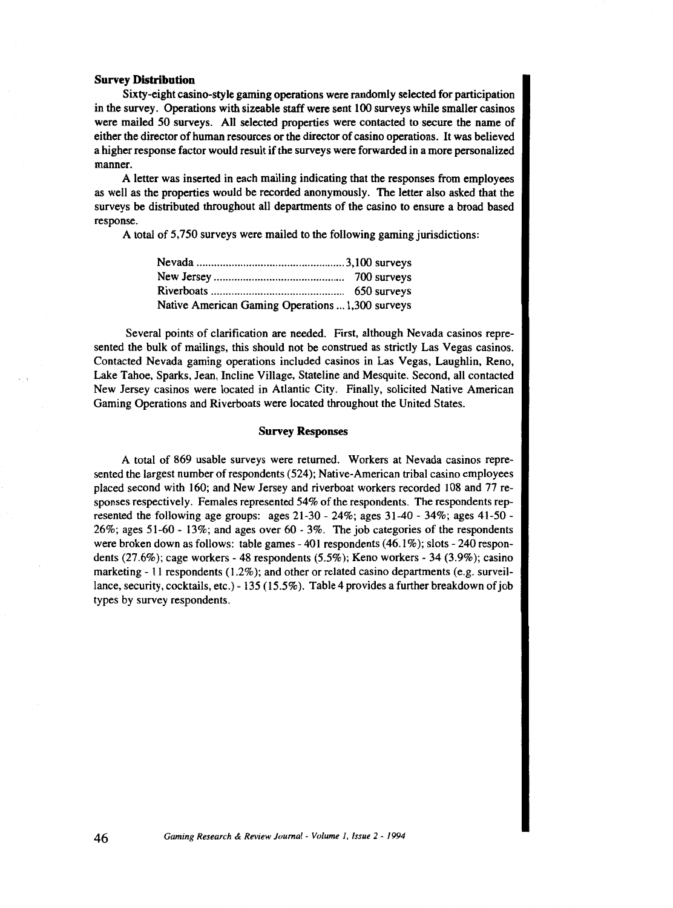#### **Survey Distribution**

Sixty-eight casino-style gaming operations were randomly selected for participation in the survey. Operations with sizeable staff were sent I 00 surveys while smaller casinos were mailed *50* surveys. All selected properties were contacted to secure the name of either the director of human resources or the director of casino operations. It was believed a higher response factor would result if the surveys were forwarded in a more personalized manner.

A letter was inserted in each mailing indicating that the responses from employees as well as the properties would be recorded anonymously. The letter also asked that the surveys be distributed throughout all departments of the casino to ensure a broad based response.

A total of *5,* 750 surveys were mailed to the following gaming jurisdictions:

| Native American Gaming Operations  1,300 surveys |  |
|--------------------------------------------------|--|

Several points of clarification are needed. First, although Nevada casinos represented the bulk of mailings, this should not be construed as strictly Las Vegas casinos. Contacted Nevada gaming operations included casinos in Las Vegas, Laughlin, Reno, Lake Tahoe, Sparks, Jean, Incline Village, Stateline and Mesquite. Second, all contacted New Jersey casinos were located in Atlantic City. Finally, solicited Native American Gaming Operations and Riverboats were located throughout the United States.

#### Survey Responses

A total of 869 usable surveys were returned. Workers at Nevada casinos represented the largest number of respondents (524); Native-American tribal casino employees placed second with 160; and New Jersey and riverboat workers recorded 108 and 77 responses respectively. Females represented 54% of the respondents. The respondents represented the following age groups: ages 21-30- 24%; ages 31-40- 34%; ages 41-50- 26%; ages 51-60- 13%; and ages over 60- 3%. The job categories of the respondents were broken down as follows: table games- 401 respondents ( 46.1% ); slots - 240 respondents (27.6%); cage workers- 48 respondents (5.5%); Keno workers- 34 (3.9%); casino marketing- 11 respondents (1.2%); and other or related casino departments (e.g. surveillance, security, cocktails, etc.)- 135 (15.5%). Table 4 provides a further breakdown of job types by survey respondents.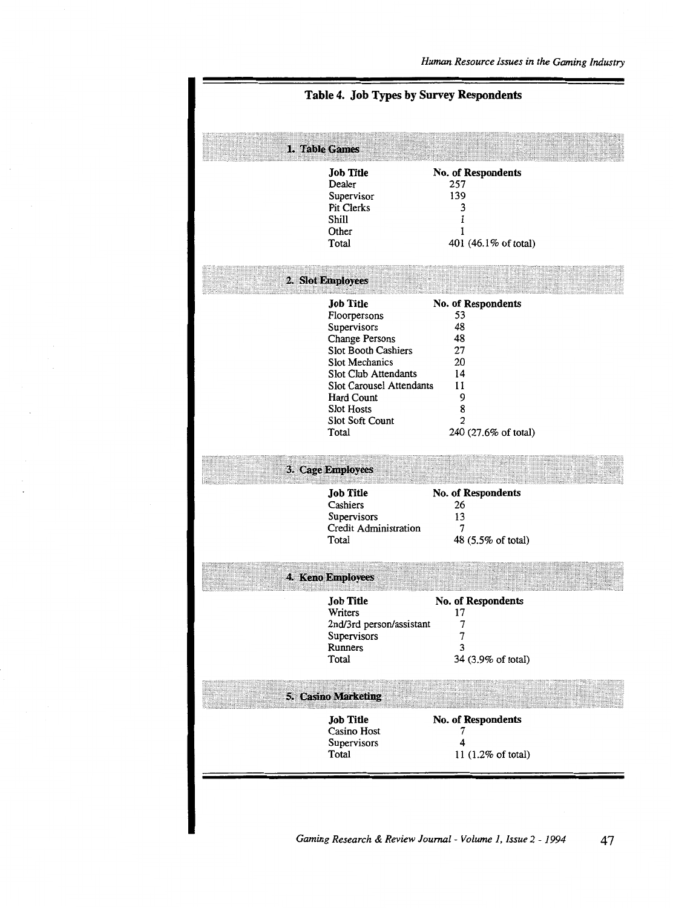| 1. Table Games<br><b>Job Title</b><br>No. of Respondents<br>Dealer<br>257<br>139<br>Supervisor<br>Pit Clerks<br>3<br>Shill<br>1<br>Other<br>1<br>401 (46.1% of total)<br>Total<br>2. Slot Employees<br>No. of Respondents<br><b>Job Title</b><br>53<br>Floorpersons<br>48<br>Supervisors<br><b>Change Persons</b><br>48<br>Slot Booth Cashiers<br>27<br>Slot Mechanics<br>20<br>Slot Club Attendants<br>14<br>Slot Carousel Attendants<br>11<br>9<br>Hard Count<br>8<br><b>Slot Hosts</b><br>$\overline{2}$<br>Slot Soft Count<br>Total<br>240 (27.6% of total) |
|-----------------------------------------------------------------------------------------------------------------------------------------------------------------------------------------------------------------------------------------------------------------------------------------------------------------------------------------------------------------------------------------------------------------------------------------------------------------------------------------------------------------------------------------------------------------|
|                                                                                                                                                                                                                                                                                                                                                                                                                                                                                                                                                                 |
|                                                                                                                                                                                                                                                                                                                                                                                                                                                                                                                                                                 |
|                                                                                                                                                                                                                                                                                                                                                                                                                                                                                                                                                                 |
|                                                                                                                                                                                                                                                                                                                                                                                                                                                                                                                                                                 |
| 3. Cage Employees                                                                                                                                                                                                                                                                                                                                                                                                                                                                                                                                               |
| No. of Respondents<br><b>Job Title</b><br>Cashiers<br>26<br>13<br>Supervisors<br>Credit Administration<br>7<br>Total<br>48 (5.5% of total)                                                                                                                                                                                                                                                                                                                                                                                                                      |
| 4. Keno Employees                                                                                                                                                                                                                                                                                                                                                                                                                                                                                                                                               |
| <b>Job Title</b><br>No. of Respondents<br>Writers<br>17<br>2nd/3rd person/assistant<br>7<br>Supervisors<br>7<br>3<br>Runners<br>Total<br>34 (3.9% of total)                                                                                                                                                                                                                                                                                                                                                                                                     |
| 5. Casino Marketing                                                                                                                                                                                                                                                                                                                                                                                                                                                                                                                                             |
| No. of Respondents<br><b>Job Title</b><br>Casino Host<br>7<br>4<br>Supervisors<br>11 (1.2% of total)<br>Total                                                                                                                                                                                                                                                                                                                                                                                                                                                   |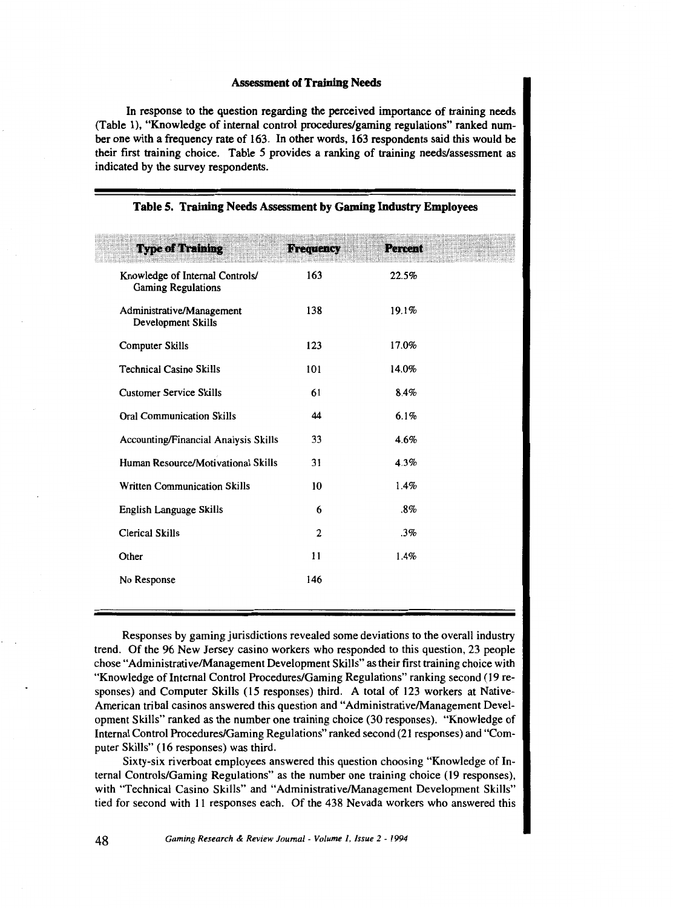#### Assessment of Training Needs

In response to the question regarding the perceived importance of training needs (Table 1), "Knowledge of internal control procedures/gaming regulations" ranked number one with a frequency rate of 163. In other words, 163 respondents said this would be their first training choice. Table 5 provides a ranking of training needs/assessment as indicated by the survey respondents.

| <b>Type of Training</b>                                      | <b>Frequency</b> | <b>Percent</b> |  |
|--------------------------------------------------------------|------------------|----------------|--|
| Knowledge of Internal Controls/<br><b>Gaming Regulations</b> | 163              | 22.5%          |  |
| Administrative/Management<br>Development Skills              | 138              | 19.1%          |  |
| Computer Skills                                              | 123              | 17.0%          |  |
| <b>Technical Casino Skills</b>                               | 101              | 14.0%          |  |
| <b>Customer Service Skills</b>                               | 61               | 8.4%           |  |
| <b>Oral Communication Skills</b>                             | 44               | 6.1%           |  |
| Accounting/Financial Analysis Skills                         | 33               | 4.6%           |  |
| Human Resource/Motivational Skills                           | 31               | 4.3%           |  |
| <b>Written Communication Skills</b>                          | 10               | 1.4%           |  |
| English Language Skills                                      | 6                | $.8\%$         |  |
| <b>Clerical Skills</b>                                       | $\overline{2}$   | .3%            |  |
| Other                                                        | 11               | 1.4%           |  |
| No Response                                                  | 146              |                |  |
|                                                              |                  |                |  |

#### Table 5. Training Needs Assessment by Gaming Industry Employees

Responses by gaming jurisdictions revealed some deviations to the overall industry trend. Of the 96 New Jersey casino workers who responded to this question, 23 people chose "Administrative/Management Development Skills" as their first training choice with "Knowledge of Internal Control Procedures/Gaming Regulations" ranking second (19 responses) and Computer Skills (15 responses) third. A total of 123 workers at Native-American tribal casinos answered this question and "Administrative/Management Development Skills" ranked as the number one training choice (30 responses). "Knowledge of Internal Control Procedures/Gaming Regulations" ranked second (2I responses) and "Computer Skills" ( I6 responses) was third.

Sixty-six riverboat employees answered this question choosing "Knowledge of Internal Controls/Gaming Regulations" as the number one training choice (19 responses), with "Technical Casino Skills" and "Administrative/Management Development Skills" tied for second with II responses each. Of the 438 Nevada workers who answered this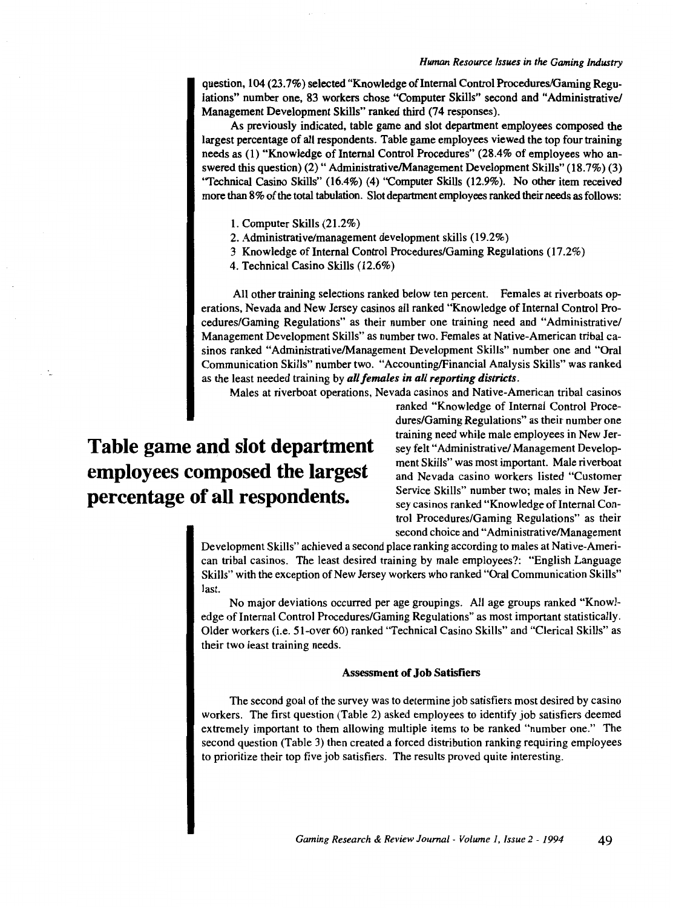question, 104 (23. 7%) selected "Knowledge of Internal Control Procedures/Gaming Regulations" number one, 83 workers chose "Computer Skills" second and "Administrative/ Management Development Skills" ranked third (74 responses).

As previously indicated, table game and slot department employees composed the largest percentage of all respondents. Table game employees viewed the top four training needs as (1) "Knowledge of Internal Control Procedures" (28.4% of employees who answered this question) (2) "Administrative/Management Development Skills" (18.7%) (3) "Technical Casino Skills" (16.4%) (4) "Computer Skills (12.9%). No other item received more than 8% of the total tabulation. Slot department employees ranked their needs as follows:

- 1. Computer Skills (21.2%)
- 2. Administrative/management development skills (19.2%)
- 3 Knowledge of Internal Control Procedures/Gaming Regulations (17 .2%)
- 4. Technical Casino Skills (12.6%)

All other training selections ranked below ten percent. Females at riverboats operations, Nevada and New Jersey casinos all ranked "Knowledge of Internal Control Procedures/Gaming Regulations" as their number one training need and "Administrative/ Management Development Skills" as number two. Females at Native-American tribal casinos ranked "Administrative/Management Development Skills" number one and "Oral Communication Skills" number two. "Accounting/Financial Analysis Skills" was ranked as the least needed training by *all females in all reporting districts.* 

Males at riverboat operations, Nevada casinos and Native-American tribal casinos

## **Table game and slot department employees composed the largest percentage of all respondents.**

ranked "Knowledge of Internal Control Procedures/Gaming Regulations" as their number one training need while male employees in New Jersey felt "Administrative/ Management Development Skills" was most important. Male riverboat and Nevada casino workers listed "Customer Service Skills" number two; males in New Jersey casinos ranked "Knowledge of Internal Control Procedures/Gaming Regulations" as their second choice and "Administrative/Management

Development Skills" achieved a second place ranking according to males at Native-American tribal casinos. The least desired training by male employees?: "English Language Skills" with the exception of New Jersey workers who ranked "Oral Communication Skills" last.

No major deviations occurred per age groupings. All age groups ranked "Knowledge of Internal Control Procedures/Gaming Regulations" as most important statistically. Older workers (i.e. 51-over 60) ranked "Technical Casino Skills" and "Clerical Skills" as their two least training needs.

#### Assessment of Job Satistiers

The second goal of the survey was to determine job satisfiers most desired by casino workers. The first question (Table 2) asked employees to identify job satisfiers deemed extremely important to them allowing multiple items to be ranked "number one." The second question (Table 3) then created a forced distribution ranking requiring employees to prioritize their top five job satisfiers. The results proved quite interesting.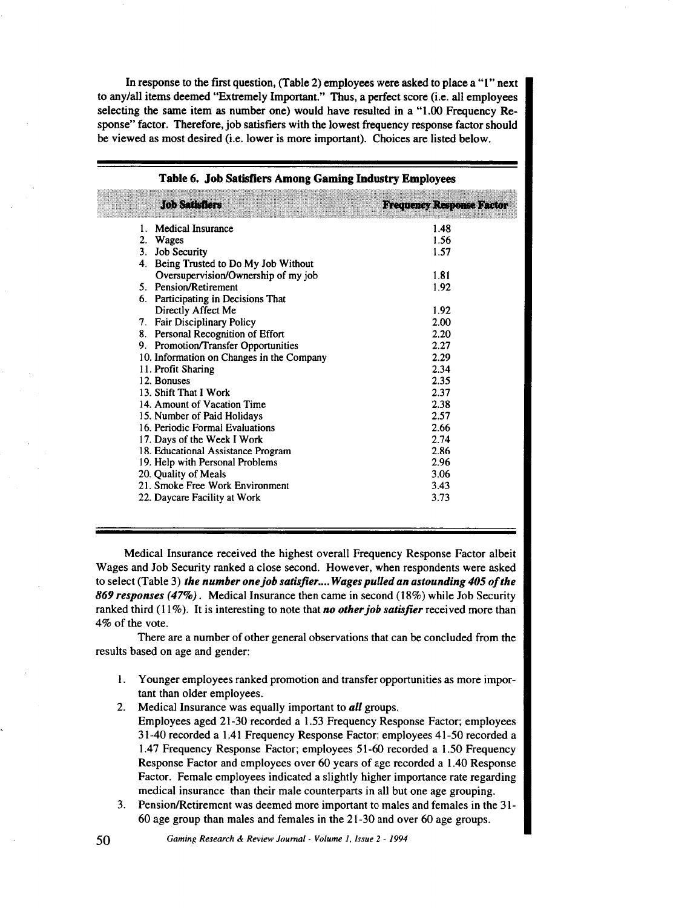In response to the first question, (Table 2) employees were asked to place a "1" next to any/all items deemed "Extremely Important." Thus, a perfect score (i.e. all employees selecting the same item as number one) would have resulted in a "1.00 Frequency Response" factor. Therefore, job satisfiers with the lowest frequency response factor should be viewed as most desired (i.e. lower is more important). Choices are listed below.

| LO NYTHS LOTS                             | <b>Frequency Response Factor</b> |
|-------------------------------------------|----------------------------------|
| 1. Medical Insurance                      | 1.48                             |
| 2. Wages                                  | 1.56                             |
| 3. Job Security                           | 1.57                             |
| 4. Being Trusted to Do My Job Without     |                                  |
| Oversupervision/Ownership of my job       | 1.81                             |
| 5. Pension/Retirement                     | 1.92                             |
| 6. Participating in Decisions That        |                                  |
| Directly Affect Me                        | 1.92                             |
| 7. Fair Disciplinary Policy               | 2.00                             |
| 8. Personal Recognition of Effort         | 2.20                             |
| 9. Promotion/Transfer Opportunities       | 2.27                             |
| 10. Information on Changes in the Company | 2.29                             |
| 11. Profit Sharing                        | 2.34                             |
| 12. Bonuses                               | 2.35                             |
| 13. Shift That I Work                     | 2.37                             |
| 14. Amount of Vacation Time               | 2.38                             |
| 15. Number of Paid Holidays               | 2.57                             |
| 16. Periodic Formal Evaluations           | 2.66                             |
| 17. Days of the Week I Work               | 2.74                             |
| 18. Educational Assistance Program        | 2.86                             |
| 19. Help with Personal Problems           | 2.96                             |
| 20. Quality of Meals                      | 3.06                             |
| 21. Smoke Free Work Environment           | 3.43                             |
| 22. Daycare Facility at Work              | 3.73                             |

#### Table 6. Job Satisfiers Among Gaming Industry Employees

Medical Insurance received the highest overall Frequency Response Factor albeit Wages and Job Security ranked a close second. However, when respondents were asked to select (Table 3) *the number one job satisfier .... Wages pulled an astounding 405 of the 869 responses (47%).* Medical Insurance then came in second (18%) while Job Security ranked third (11%). It is interesting to note that *no other job satisfier* received more than 4% of the vote.

There are a number of other general observations that can be concluded from the results based on age and gender:

- I. Younger employees ranked promotion and transfer opportunities as more important than older employees.
- 2. Medical Insurance was equally important to *all* groups. Employees aged 21-30 recorded a 1.53 Frequency Response Factor; employees 3 I -40 recorded a 1.41 Frequency Response Factor; employees 41-50 recorded a 1.47 Frequency Response Factor; employees 51-60 recorded a 1.50 Frequency Response Factor and employees over 60 years of age recorded a 1.40 Response Factor. Female employees indicated a slightly higher importance rate regarding medical insurance than their male counterparts in all but one age grouping.
- 3. Pension/Retirement was deemed more important to males and females in the 31- 60 age group than males and females in the 21-30 and over 60 age groups.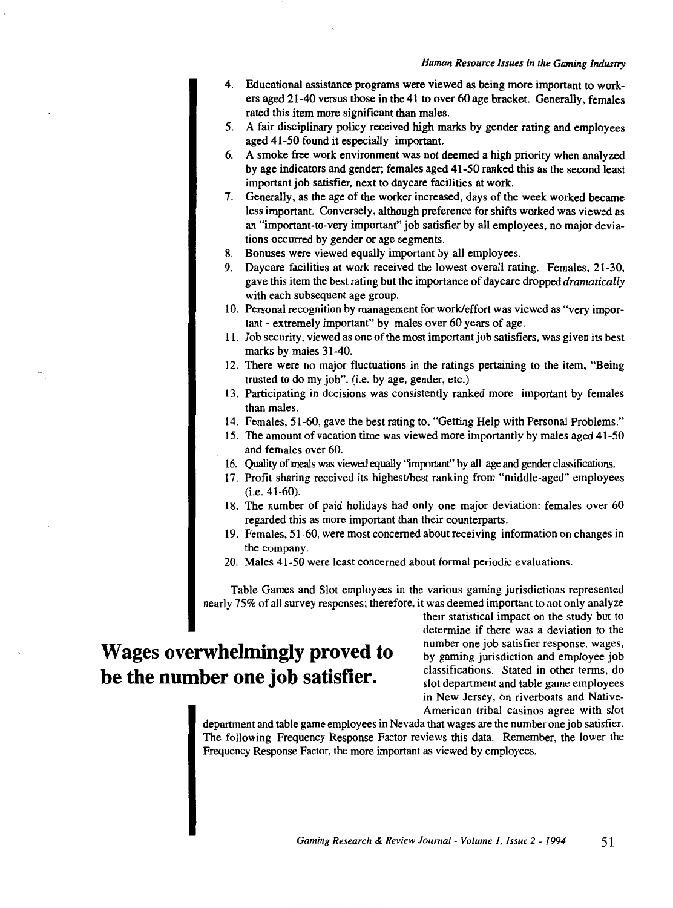- 4. Educational assistance programs were viewed as being more important to workers aged 21-40 versus those in the 41 to over 60 age bracket. Generally, females rated this item more significant than males.
- 5. A fair disciplinary policy received high marks by gender rating and employees aged 41-50 found it especially important.
- 6. A smoke free work environment was not deemed a high priority when analyzed by age indicators and gender; females aged 41-50 ranked this as the second least important job satisfier, next to daycare facilities at work.
- 7. Generally, as the age of the worker increased, days of the week worked became less important. Conversely, although preference for shifts worked was viewed as an "important-to-very important" job satisfier by all employees, no major deviations occurred by gender or age segments.
- 8. Bonuses were viewed equally important by all employees.
- 9. Daycare facilities at work received the lowest overall rating. Females, 21-30, gave this item the best rating but the importance of day care dropped *dramatically*  with each subsequent age group.
- 10. Personal recognition by management for work/effort was viewed as "very important - extremely important" by males over 60 years of age.
- 11. Job security, viewed as one of the most important job satisfiers, was given its best marks by males 31-40.
- 12. There were no major fluctuations in the ratings pertaining to the item, "Being trusted to do my job". (i.e. by age, gender, etc.)
- 13. Participating in decisions was consistently ranked more important by females than males.
- 14. Females, 51-60, gave the best rating to, "Getting Help with Personal Problems."
- 15. The amount of vacation time was viewed more importantly by males aged 41-50 and females over 60.
- 16. Quality of meals was viewed equally "important" by all age and gender classifications.
- 17. Profit sharing received its highest/best ranking from "middle-aged" employees (i.e. 41-60).
- 18. The number of paid holidays had only one major deviation: females over 60 regarded this as more important than their counterparts.
- 19. Females, 51-60, were most concerned about receiving information on changes in the company.
- 20. Males 41-50 were least concerned about formal periodic evaluations.

Table Games and Slot employees in the various gaming jurisdictions represented nearly 75% of all survey responses; therefore, it was deemed important to not only analyze

### **Wages overwhelmingly proved to be the number one job satisfier.**

their statistical impact on the study but to determine if there was a deviation to the number one job satisfier response, wages, by gaming jurisdiction and employee job classifications. Stated in other terms, do slot department and table game employees in New Jersey, on riverboats and Native-American tribal casinos agree with slot

department and table game employees in Nevada that wages are the number one job satisfier. The following Frequency Response Factor reviews this data. Remember, the lower the Frequency Response Factor, the more important as viewed by employees.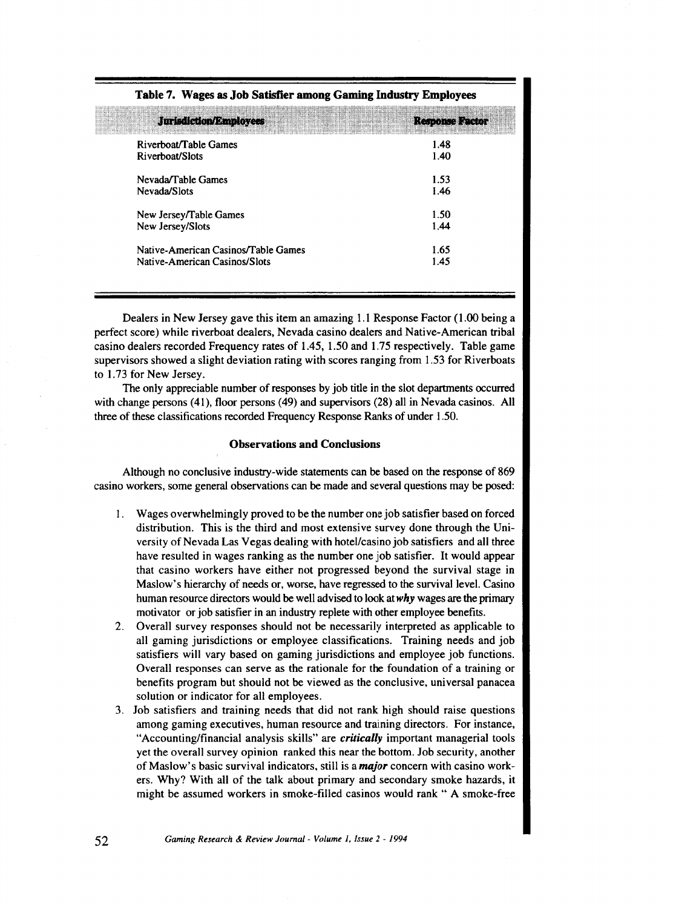| <b>Jurisdiction/Employees</b>       | Response Factor |
|-------------------------------------|-----------------|
| Riverboat/Table Games               | 1.48            |
| Riverboat/Slots                     | 1.40            |
| Nevada/Table Games                  | 1.53            |
| Nevada/Slots                        | 1.46            |
| New Jersey/Table Games              | 1.50            |
| New Jersey/Slots                    | 1.44            |
| Native-American Casinos/Table Games | 1.65            |
| Native-American Casinos/Slots       | 1.45            |

#### Table 7. Wages as Job Satisfier among Gaming Industry Employees

Dealers in New Jersey gave this item an amazing 1.1 Response Factor (1.00 being a perfect score) while riverboat dealers, Nevada casino dealers and Native-American tribal casino dealers recorded Frequency rates of 1.45, 1.50 and 1.75 respectively. Table game supervisors showed a slight deviation rating with scores ranging from 1.53 for Riverboats to 1.73 for New Jersey.

The only appreciable number of responses by job title in the slot departments occurred with change persons (41), floor persons (49) and supervisors (28) all in Nevada casinos. All three of these classifications recorded Frequency Response Ranks of under 1.50.

#### Observations and Conclusions

Although no conclusive industry-wide statements can be based on the response of 869 casino workers, some general observations can be made and several questions may be posed:

- I. Wages overwhelmingly proved to be the number one job satisfier based on forced distribution. This is the third and most extensive survey done through the University of Nevada Las Vegas dealing with hotel/casino job satisfiers and all three have resulted in wages ranking as the number one job satisfier. It would appear that casino workers have either not progressed beyond the survival stage in Maslow's hierarchy of needs or, worse, have regressed to the survival level. Casino human resource directors would be well advised to look at *why* wages are the primary motivator or job satisfier in an industry replete with other employee benefits.
- 2. Overall survey responses should not be necessarily interpreted as applicable to all gaming jurisdictions or employee classifications. Training needs and job satisfiers will vary based on gaming jurisdictions and employee job functions. Overall responses can serve as the rationale for the foundation of a training or benefits program but should not be viewed as the conclusive, universal panacea solution or indicator for all employees.
- 3. Job satisfiers and training needs that did not rank high should raise questions among gaming executives, human resource and training directors. For instance, "Accounting/financial analysis skills" are *critically* important managerial tools yet the overall survey opinion ranked this near the bottom. Job security, another of Maslow's basic survival indicators, still is a *major* concern with casino workers. Why? With all of the talk about primary and secondary smoke hazards, it might be assumed workers in smoke-filled casinos would rank " A smoke-free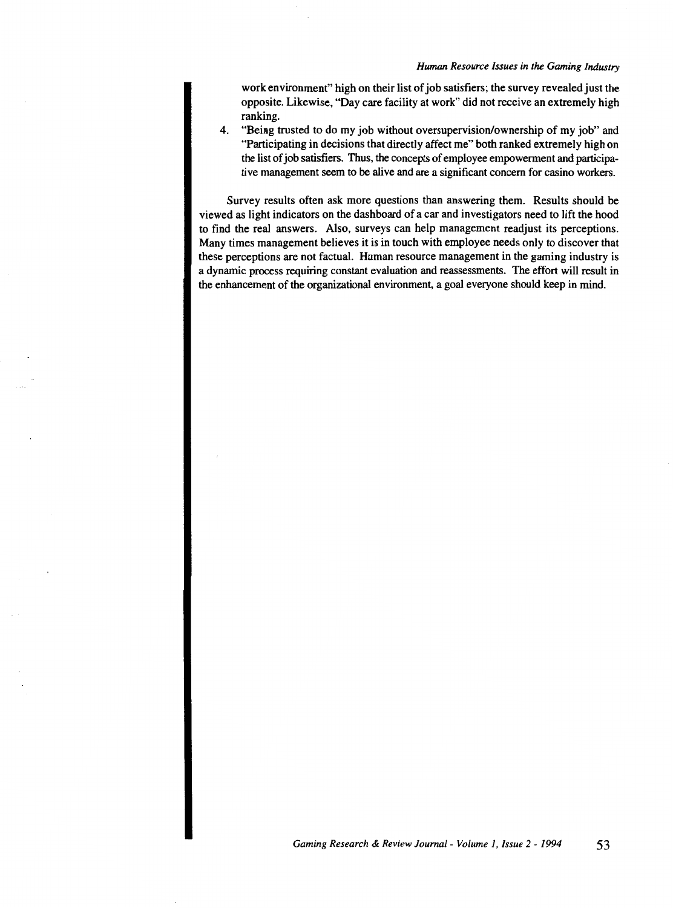work environment" high on their list of job satisfiers; the survey revealed just the opposite. Likewise, "Day care facility at work" did not receive an extremely high ranking.

4. "Being trusted to do my job without oversupervision/ownership of my job" and "Participating in decisions that directly affect me" both ranked extremely high on the list of job satisfiers. Thus, the concepts of employee empowerment and participative management seem to be alive and are a significant concern for casino workers.

Survey results often ask more questions than answering them. Results should be viewed as light indicators on the dashboard of a car and investigators need to lift the hood to find the real answers. Also, surveys can help management readjust its perceptions. Many times management believes it is in touch with employee needs only to discover that these perceptions are not factual. Human resource management in the gaming industry is a dynamic process requiring constant evaluation and reassessments. The effort will result in the enhancement of the organizational environment, a goal everyone should keep in mind.